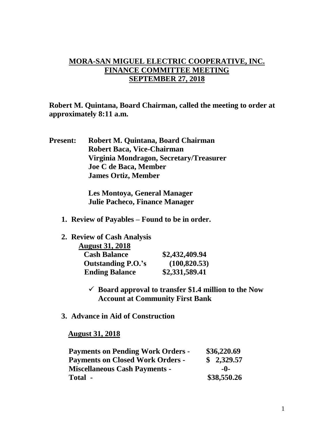## **MORA-SAN MIGUEL ELECTRIC COOPERATIVE, INC. FINANCE COMMITTEE MEETING SEPTEMBER 27, 2018**

**Robert M. Quintana, Board Chairman, called the meeting to order at approximately 8:11 a.m.**

**Present: Robert M. Quintana, Board Chairman Robert Baca, Vice-Chairman Virginia Mondragon, Secretary/Treasurer Joe C de Baca, Member James Ortiz, Member**

> **Les Montoya, General Manager Julie Pacheco, Finance Manager**

- **1. Review of Payables – Found to be in order.**
- **2. Review of Cash Analysis August 31, 2018 Cash Balance \$2,432,409.94 Outstanding P.O.'s (100,820.53) Ending Balance \$2,331,589.41**
	- $\checkmark$  Board approval to transfer \$1.4 million to the Now **Account at Community First Bank**
- **3. Advance in Aid of Construction**

 **August 31, 2018**

| <b>Payments on Pending Work Orders -</b> | \$36,220.69 |
|------------------------------------------|-------------|
| <b>Payments on Closed Work Orders -</b>  | \$2,329.57  |
| <b>Miscellaneous Cash Payments -</b>     | $-0-$       |
| Total -                                  | \$38,550.26 |